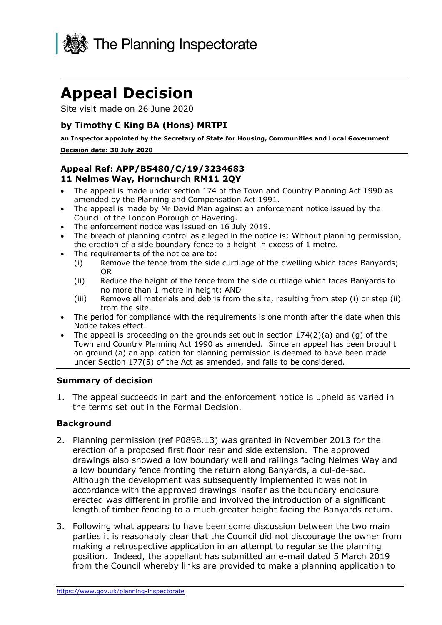

# **Appeal Decision**

Site visit made on 26 June 2020

## **by Timothy C King BA (Hons) MRTPI**

 **Decision date: 30 July 2020 an Inspector appointed by the Secretary of State for Housing, Communities and Local Government** 

## **Appeal Ref: APP/B5480/C/19/3234683 11 Nelmes Way, Hornchurch RM11 2QY**

- • The appeal is made under section 174 of the Town and Country Planning Act 1990 as amended by the Planning and Compensation Act 1991.
- • The appeal is made by Mr David Man against an enforcement notice issued by the Council of the London Borough of Havering.
- The enforcement notice was issued on 16 July 2019.
- • The breach of planning control as alleged in the notice is: Without planning permission, the erection of a side boundary fence to a height in excess of 1 metre.
- • The requirements of the notice are to:
	- (i) Remove the fence from the side curtilage of the dwelling which faces Banyards; OR
	- no more than 1 metre in height; AND (ii) Reduce the height of the fence from the side curtilage which faces Banyards to
	- (iii) Remove all materials and debris from the site, resulting from step (i) or step (ii) from the site.
- • The period for compliance with the requirements is one month after the date when this Notice takes effect.
- The appeal is proceeding on the grounds set out in section  $174(2)(a)$  and (g) of the Town and Country Planning Act 1990 as amended. Since an appeal has been brought on ground (a) an application for planning permission is deemed to have been made under Section 177(5) of the Act as amended, and falls to be considered.

#### **Summary of decision**

 1. The appeal succeeds in part and the enforcement notice is upheld as varied in the terms set out in the Formal Decision.

#### **Background**

- 2. Planning permission (ref P0898.13) was granted in November 2013 for the erection of a proposed first floor rear and side extension. The approved drawings also showed a low boundary wall and railings facing Nelmes Way and a low boundary fence fronting the return along Banyards, a cul-de-sac. Although the development was subsequently implemented it was not in accordance with the approved drawings insofar as the boundary enclosure erected was different in profile and involved the introduction of a significant length of timber fencing to a much greater height facing the Banyards return.
- parties it is reasonably clear that the Council did not discourage the owner from making a retrospective application in an attempt to regularise the planning position. Indeed, the appellant has submitted an e-mail dated 5 March 2019 from the Council whereby links are provided to make a planning application to 3. Following what appears to have been some discussion between the two main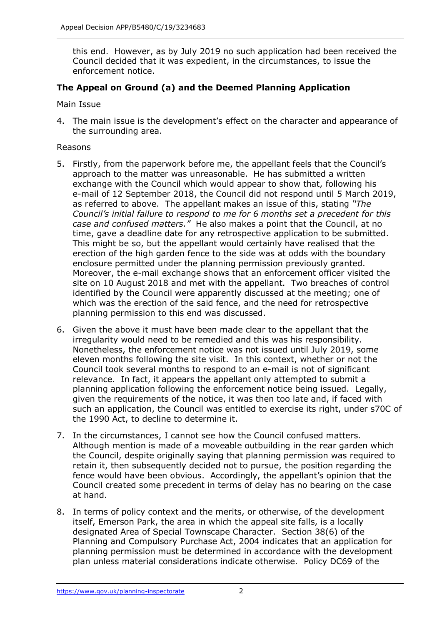this end. However, as by July 2019 no such application had been received the Council decided that it was expedient, in the circumstances, to issue the enforcement notice.

## **The Appeal on Ground (a) and the Deemed Planning Application**

Main Issue

 4. The main issue is the development's effect on the character and appearance of the surrounding area.

#### Reasons

- 5. Firstly, from the paperwork before me, the appellant feels that the Council's approach to the matter was unreasonable. He has submitted a written exchange with the Council which would appear to show that, following his e-mail of 12 September 2018, the Council did not respond until 5 March 2019, as referred to above. The appellant makes an issue of this, stating *"The Council's initial failure to respond to me for 6 months set a precedent for this case and confused matters."* He also makes a point that the Council, at no time, gave a deadline date for any retrospective application to be submitted. This might be so, but the appellant would certainly have realised that the erection of the high garden fence to the side was at odds with the boundary enclosure permitted under the planning permission previously granted. Moreover, the e-mail exchange shows that an enforcement officer visited the site on 10 August 2018 and met with the appellant. Two breaches of control identified by the Council were apparently discussed at the meeting; one of which was the erection of the said fence, and the need for retrospective planning permission to this end was discussed. planning permission to this end was discussed. 6. Given the above it must have been made clear to the appellant that the
- irregularity would need to be remedied and this was his responsibility. Nonetheless, the enforcement notice was not issued until July 2019, some eleven months following the site visit. In this context, whether or not the Council took several months to respond to an e-mail is not of significant relevance. In fact, it appears the appellant only attempted to submit a planning application following the enforcement notice being issued. Legally, given the requirements of the notice, it was then too late and, if faced with such an application, the Council was entitled to exercise its right, under s70C of the 1990 Act, to decline to determine it.
- 7. In the circumstances, I cannot see how the Council confused matters. Although mention is made of a moveable outbuilding in the rear garden which the Council, despite originally saying that planning permission was required to retain it, then subsequently decided not to pursue, the position regarding the fence would have been obvious. Accordingly, the appellant's opinion that the Council created some precedent in terms of delay has no bearing on the case at hand.
- at hand.<br>8. In terms of policy context and the merits, or otherwise, of the development itself, Emerson Park, the area in which the appeal site falls, is a locally designated Area of Special Townscape Character. Section 38(6) of the Planning and Compulsory Purchase Act, 2004 indicates that an application for planning permission must be determined in accordance with the development plan unless material considerations indicate otherwise. Policy DC69 of the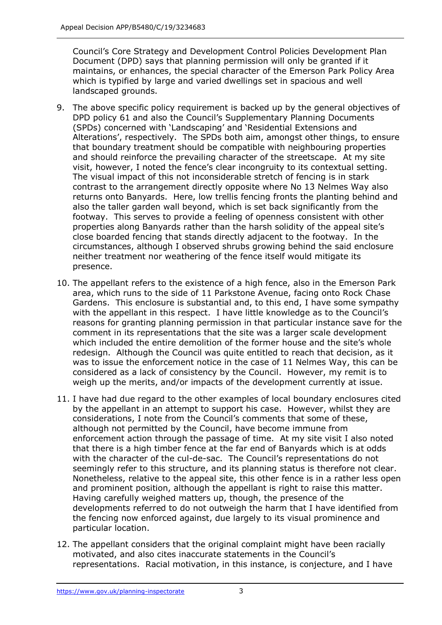Council's Core Strategy and Development Control Policies Development Plan Document (DPD) says that planning permission will only be granted if it maintains, or enhances, the special character of the Emerson Park Policy Area which is typified by large and varied dwellings set in spacious and well landscaped grounds.

- 9. The above specific policy requirement is backed up by the general objectives of DPD policy 61 and also the Council's Supplementary Planning Documents (SPDs) concerned with 'Landscaping' and 'Residential Extensions and Alterations', respectively. The SPDs both aim, amongst other things, to ensure that boundary treatment should be compatible with neighbouring properties and should reinforce the prevailing character of the streetscape. At my site visit, however, I noted the fence's clear incongruity to its contextual setting. The visual impact of this not inconsiderable stretch of fencing is in stark contrast to the arrangement directly opposite where No 13 Nelmes Way also returns onto Banyards. Here, low trellis fencing fronts the planting behind and also the taller garden wall beyond, which is set back significantly from the footway. This serves to provide a feeling of openness consistent with other properties along Banyards rather than the harsh solidity of the appeal site's close boarded fencing that stands directly adjacent to the footway. In the circumstances, although I observed shrubs growing behind the said enclosure neither treatment nor weathering of the fence itself would mitigate its presence.
- 10. The appellant refers to the existence of a high fence, also in the Emerson Park area, which runs to the side of 11 Parkstone Avenue, facing onto Rock Chase Gardens. This enclosure is substantial and, to this end, I have some sympathy with the appellant in this respect. I have little knowledge as to the Council's reasons for granting planning permission in that particular instance save for the comment in its representations that the site was a larger scale development which included the entire demolition of the former house and the site's whole redesign. Although the Council was quite entitled to reach that decision, as it was to issue the enforcement notice in the case of 11 Nelmes Way, this can be considered as a lack of consistency by the Council. However, my remit is to weigh up the merits, and/or impacts of the development currently at issue.
- 11. I have had due regard to the other examples of local boundary enclosures cited by the appellant in an attempt to support his case. However, whilst they are considerations, I note from the Council's comments that some of these, although not permitted by the Council, have become immune from enforcement action through the passage of time. At my site visit I also noted that there is a high timber fence at the far end of Banyards which is at odds with the character of the cul-de-sac. The Council's representations do not seemingly refer to this structure, and its planning status is therefore not clear. Nonetheless, relative to the appeal site, this other fence is in a rather less open and prominent position, although the appellant is right to raise this matter. Having carefully weighed matters up, though, the presence of the developments referred to do not outweigh the harm that I have identified from the fencing now enforced against, due largely to its visual prominence and particular location.
- 12. The appellant considers that the original complaint might have been racially motivated, and also cites inaccurate statements in the Council's representations. Racial motivation, in this instance, is conjecture, and I have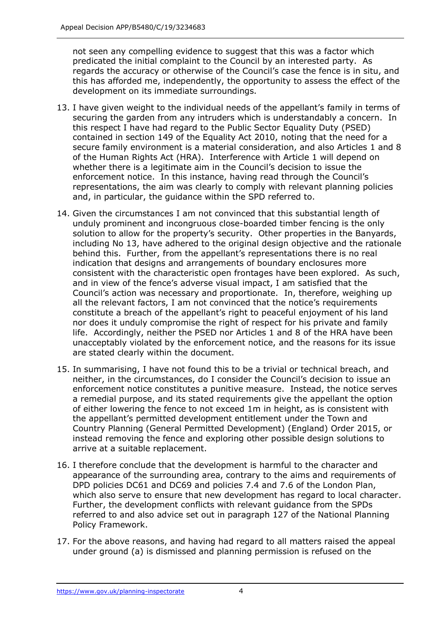not seen any compelling evidence to suggest that this was a factor which predicated the initial complaint to the Council by an interested party. As regards the accuracy or otherwise of the Council's case the fence is in situ, and development on its immediate surroundings. this has afforded me, independently, the opportunity to assess the effect of the

- 13. I have given weight to the individual needs of the appellant's family in terms of securing the garden from any intruders which is understandably a concern. In this respect I have had regard to the Public Sector Equality Duty (PSED) contained in section 149 of the Equality Act 2010, noting that the need for a secure family environment is a material consideration, and also Articles 1 and 8 of the Human Rights Act (HRA). Interference with Article 1 will depend on whether there is a legitimate aim in the Council's decision to issue the enforcement notice. In this instance, having read through the Council's representations, the aim was clearly to comply with relevant planning policies and, in particular, the guidance within the SPD referred to.
- 14. Given the circumstances I am not convinced that this substantial length of unduly prominent and incongruous close-boarded timber fencing is the only solution to allow for the property's security. Other properties in the Banyards, including No 13, have adhered to the original design objective and the rationale behind this. Further, from the appellant's representations there is no real indication that designs and arrangements of boundary enclosures more consistent with the characteristic open frontages have been explored. As such, and in view of the fence's adverse visual impact, I am satisfied that the Council's action was necessary and proportionate. In, therefore, weighing up all the relevant factors, I am not convinced that the notice's requirements constitute a breach of the appellant's right to peaceful enjoyment of his land nor does it unduly compromise the right of respect for his private and family life. Accordingly, neither the PSED nor Articles 1 and 8 of the HRA have been unacceptably violated by the enforcement notice, and the reasons for its issue are stated clearly within the document.
- 15. In summarising, I have not found this to be a trivial or technical breach, and neither, in the circumstances, do I consider the Council's decision to issue an enforcement notice constitutes a punitive measure. Instead, the notice serves a remedial purpose, and its stated requirements give the appellant the option of either lowering the fence to not exceed 1m in height, as is consistent with the appellant's permitted development entitlement under the Town and Country Planning (General Permitted Development) (England) Order 2015, or instead removing the fence and exploring other possible design solutions to arrive at a suitable replacement.
- 16. I therefore conclude that the development is harmful to the character and appearance of the surrounding area, contrary to the aims and requirements of DPD policies DC61 and DC69 and policies 7.4 and 7.6 of the London Plan, which also serve to ensure that new development has regard to local character. referred to and also advice set out in paragraph 127 of the National Planning Further, the development conflicts with relevant guidance from the SPDs Policy Framework.
- 17. For the above reasons, and having had regard to all matters raised the appeal under ground (a) is dismissed and planning permission is refused on the